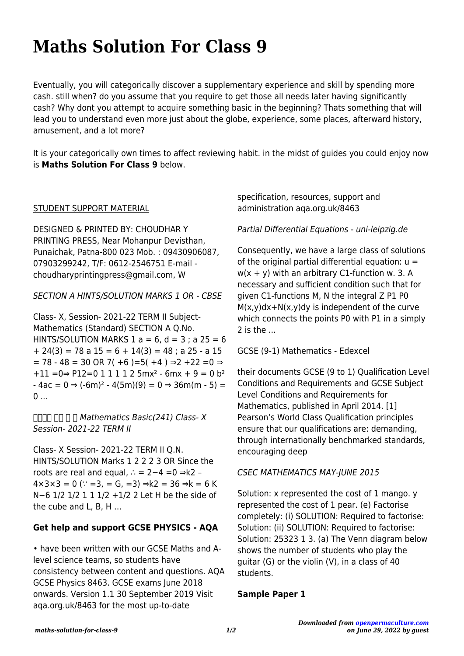# **Maths Solution For Class 9**

Eventually, you will categorically discover a supplementary experience and skill by spending more cash. still when? do you assume that you require to get those all needs later having significantly cash? Why dont you attempt to acquire something basic in the beginning? Thats something that will lead you to understand even more just about the globe, experience, some places, afterward history, amusement, and a lot more?

It is your categorically own times to affect reviewing habit. in the midst of guides you could enjoy now is **Maths Solution For Class 9** below.

#### STUDENT SUPPORT MATERIAL

DESIGNED & PRINTED BY: CHOUDHAR Y PRINTING PRESS, Near Mohanpur Devisthan, Punaichak, Patna-800 023 Mob. : 09430906087, 07903299242, T/F: 0612-2546751 E-mail choudharyprintingpress@gmail.com, W

SECTION A HINTS/SOLUTION MARKS 1 OR - CBSE

Class- X, Session- 2021-22 TERM II Subject-Mathematics (Standard) SECTION A Q.No. HINTS/SOLUTION MARKS  $1 a = 6$ ,  $d = 3$ ;  $a 25 = 6$  $+ 24(3) = 78$  a  $15 = 6 + 14(3) = 48$ ; a  $25 - a 15$  $= 78 - 48 = 30$  OR 7( +6 )=5( +4 )  $\Rightarrow$  +22 =0  $\Rightarrow$  $+11 = 0 \Rightarrow P12 = 0 \quad 1 \quad 1 \quad 1 \quad 2 \quad 5$  mx<sup>2</sup> - 6 mx + 9 = 0 b<sup>2</sup>  $-4ac = 0 \Rightarrow (-6m)^2 - 4(5m)(9) = 0 \Rightarrow 36m(m - 5) =$ 0 ...

 $\Box$  $\Box$  $\Box$  Mathematics Basic(241) Class- X Session- 2021-22 TERM II

Class- X Session- 2021-22 TERM II Q.N. HINTS/SOLUTION Marks 1 2 2 2 3 OR Since the roots are real and equal, ∴ = 2−4 =0 ⇒k2 –  $4 \times 3 \times 3 = 0$  ( $\therefore$  =3, = G, =3)  $\Rightarrow k2 = 36 \Rightarrow k = 6$  K N−6 1/2 1/2 1 1 1/2 +1/2 2 Let H be the side of the cube and L, B, H …

# **Get help and support GCSE PHYSICS - AQA**

• have been written with our GCSE Maths and Alevel science teams, so students have consistency between content and questions. AQA GCSE Physics 8463. GCSE exams June 2018 onwards. Version 1.1 30 September 2019 Visit aqa.org.uk/8463 for the most up-to-date

specification, resources, support and administration aqa.org.uk/8463

Partial Differential Equations - uni-leipzig.de

Consequently, we have a large class of solutions of the original partial differential equation:  $u =$  $w(x + y)$  with an arbitrary C1-function w. 3. A necessary and sufficient condition such that for given C1-functions M, N the integral Z P1 P0 M(x,y)dx+N(x,y)dy is independent of the curve which connects the points P0 with P1 in a simply  $2$  is the  $\ldots$ 

#### GCSE (9-1) Mathematics - Edexcel

their documents GCSE (9 to 1) Qualification Level Conditions and Requirements and GCSE Subject Level Conditions and Requirements for Mathematics, published in April 2014. [1] Pearson's World Class Qualification principles ensure that our qualifications are: demanding, through internationally benchmarked standards, encouraging deep

# CSEC MATHEMATICS MAY-JUNE 2015

Solution: x represented the cost of 1 mango. y represented the cost of 1 pear. (e) Factorise completely: (i) SOLUTION: Required to factorise: Solution: (ii) SOLUTION: Required to factorise: Solution: 25323 1 3. (a) The Venn diagram below shows the number of students who play the guitar (G) or the violin (V), in a class of 40 students.

# **Sample Paper 1**